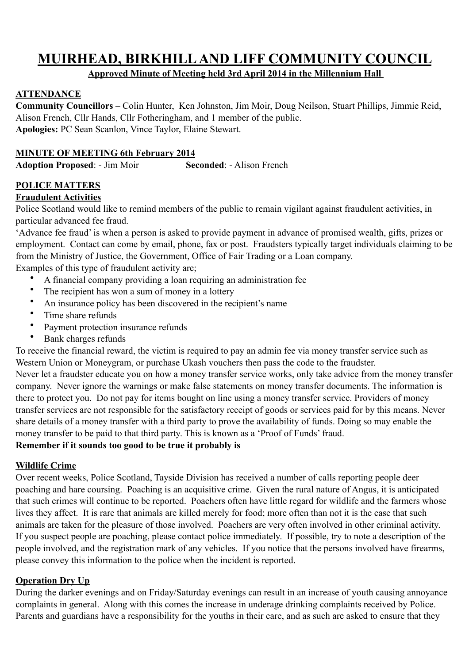# **MUIRHEAD, BIRKHILL AND LIFF COMMUNITY COUNCIL**

# **Approved Minute of Meeting held 3rd April 2014 in the Millennium Hall**

# **ATTENDANCE**

**Community Councillors –** Colin Hunter, Ken Johnston, Jim Moir, Doug Neilson, Stuart Phillips, Jimmie Reid, Alison French, Cllr Hands, Cllr Fotheringham, and 1 member of the public. **Apologies:** PC Sean Scanlon, Vince Taylor, Elaine Stewart.

# **MINUTE OF MEETING 6th February 2014**

**Adoption Proposed**: - Jim Moir **Seconded**: - Alison French

# **POLICE MATTERS**

### **Fraudulent Activities**

Police Scotland would like to remind members of the public to remain vigilant against fraudulent activities, in particular advanced fee fraud.

'Advance fee fraud' is when a person is asked to provide payment in advance of promised wealth, gifts, prizes or employment. Contact can come by email, phone, fax or post. Fraudsters typically target individuals claiming to be from the Ministry of Justice, the Government, Office of Fair Trading or a Loan company.

Examples of this type of fraudulent activity are;

- A financial company providing a loan requiring an administration fee<br>• The reginient has wen a sum of money in a lettery
- The recipient has won a sum of money in a lottery
- An insurance policy has been discovered in the recipient's name
- Time share refunds
- Payment protection insurance refunds
- Bank charges refunds

To receive the financial reward, the victim is required to pay an admin fee via money transfer service such as Western Union or Moneygram, or purchase Ukash vouchers then pass the code to the fraudster.

Never let a fraudster educate you on how a money transfer service works, only take advice from the money transfer company. Never ignore the warnings or make false statements on money transfer documents. The information is there to protect you. Do not pay for items bought on line using a money transfer service. Providers of money transfer services are not responsible for the satisfactory receipt of goods or services paid for by this means. Never share details of a money transfer with a third party to prove the availability of funds. Doing so may enable the money transfer to be paid to that third party. This is known as a 'Proof of Funds' fraud.

# **Remember if it sounds too good to be true it probably is**

### **Wildlife Crime**

Over recent weeks, Police Scotland, Tayside Division has received a number of calls reporting people deer poaching and hare coursing. Poaching is an acquisitive crime. Given the rural nature of Angus, it is anticipated that such crimes will continue to be reported. Poachers often have little regard for wildlife and the farmers whose lives they affect. It is rare that animals are killed merely for food; more often than not it is the case that such animals are taken for the pleasure of those involved. Poachers are very often involved in other criminal activity. If you suspect people are poaching, please contact police immediately. If possible, try to note a description of the people involved, and the registration mark of any vehicles. If you notice that the persons involved have firearms, please convey this information to the police when the incident is reported.

### **Operation Dry Up**

During the darker evenings and on Friday/Saturday evenings can result in an increase of youth causing annoyance complaints in general. Along with this comes the increase in underage drinking complaints received by Police. Parents and guardians have a responsibility for the youths in their care, and as such are asked to ensure that they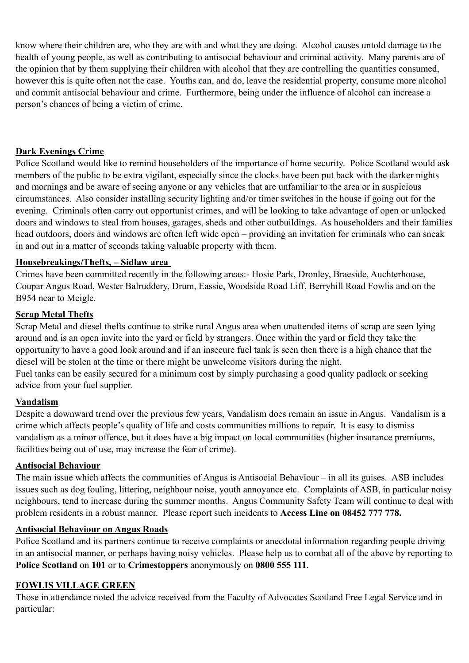know where their children are, who they are with and what they are doing. Alcohol causes untold damage to the health of young people, as well as contributing to antisocial behaviour and criminal activity. Many parents are of the opinion that by them supplying their children with alcohol that they are controlling the quantities consumed, however this is quite often not the case. Youths can, and do, leave the residential property, consume more alcohol and commit antisocial behaviour and crime. Furthermore, being under the influence of alcohol can increase a person's chances of being a victim of crime.

#### **Dark Evenings Crime**

Police Scotland would like to remind householders of the importance of home security. Police Scotland would ask members of the public to be extra vigilant, especially since the clocks have been put back with the darker nights and mornings and be aware of seeing anyone or any vehicles that are unfamiliar to the area or in suspicious circumstances. Also consider installing security lighting and/or timer switches in the house if going out for the evening. Criminals often carry out opportunist crimes, and will be looking to take advantage of open or unlocked doors and windows to steal from houses, garages, sheds and other outbuildings. As householders and their families head outdoors, doors and windows are often left wide open – providing an invitation for criminals who can sneak in and out in a matter of seconds taking valuable property with them.

#### **Housebreakings/Thefts, – Sidlaw area**

Crimes have been committed recently in the following areas:- Hosie Park, Dronley, Braeside, Auchterhouse, Coupar Angus Road, Wester Balruddery, Drum, Eassie, Woodside Road Liff, Berryhill Road Fowlis and on the B954 near to Meigle.

#### **Scrap Metal Thefts**

Scrap Metal and diesel thefts continue to strike rural Angus area when unattended items of scrap are seen lying around and is an open invite into the yard or field by strangers. Once within the yard or field they take the opportunity to have a good look around and if an insecure fuel tank is seen then there is a high chance that the diesel will be stolen at the time or there might be unwelcome visitors during the night.

Fuel tanks can be easily secured for a minimum cost by simply purchasing a good quality padlock or seeking advice from your fuel supplier.

#### **Vandalism**

Despite a downward trend over the previous few years, Vandalism does remain an issue in Angus. Vandalism is a crime which affects people's quality of life and costs communities millions to repair. It is easy to dismiss vandalism as a minor offence, but it does have a big impact on local communities (higher insurance premiums, facilities being out of use, may increase the fear of crime).

#### **Antisocial Behaviour**

The main issue which affects the communities of Angus is Antisocial Behaviour – in all its guises. ASB includes issues such as dog fouling, littering, neighbour noise, youth annoyance etc. Complaints of ASB, in particular noisy neighbours, tend to increase during the summer months. Angus Community Safety Team will continue to deal with problem residents in a robust manner. Please report such incidents to **Access Line on 08452 777 778.**

### **Antisocial Behaviour on Angus Roads**

Police Scotland and its partners continue to receive complaints or anecdotal information regarding people driving in an antisocial manner, or perhaps having noisy vehicles. Please help us to combat all of the above by reporting to **Police Scotland** on **101** or to **Crimestoppers** anonymously on **0800 555 111**.

### **FOWLIS VILLAGE GREEN**

Those in attendance noted the advice received from the Faculty of Advocates Scotland Free Legal Service and in particular: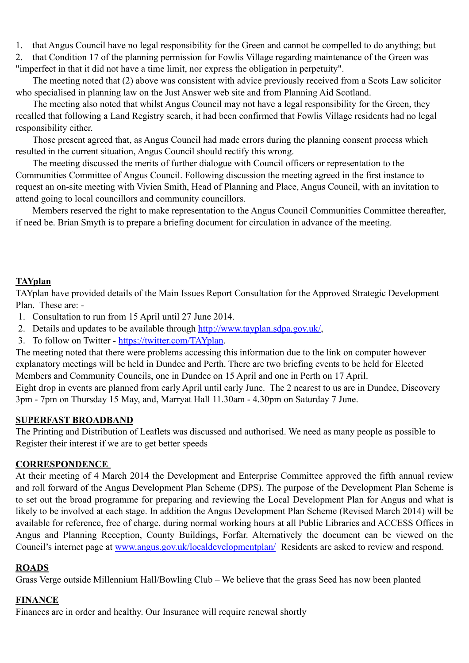1. that Angus Council have no legal responsibility for the Green and cannot be compelled to do anything; but

2. that Condition 17 of the planning permission for Fowlis Village regarding maintenance of the Green was "imperfect in that it did not have a time limit, nor express the obligation in perpetuity".

The meeting noted that (2) above was consistent with advice previously received from a Scots Law solicitor who specialised in planning law on the Just Answer web site and from Planning Aid Scotland.

The meeting also noted that whilst Angus Council may not have a legal responsibility for the Green, they recalled that following a Land Registry search, it had been confirmed that Fowlis Village residents had no legal responsibility either.

Those present agreed that, as Angus Council had made errors during the planning consent process which resulted in the current situation, Angus Council should rectify this wrong.

The meeting discussed the merits of further dialogue with Council officers or representation to the Communities Committee of Angus Council. Following discussion the meeting agreed in the first instance to request an on-site meeting with Vivien Smith, Head of Planning and Place, Angus Council, with an invitation to attend going to local councillors and community councillors.

Members reserved the right to make representation to the Angus Council Communities Committee thereafter, if need be. Brian Smyth is to prepare a briefing document for circulation in advance of the meeting.

### **TAYplan**

TAYplan have provided details of the Main Issues Report Consultation for the Approved Strategic Development Plan. These are: -

- 1. Consultation to run from 15 April until 27 June 2014.
- 2. Details and updates to be available through<http://www.tayplan.sdpa.gov.uk/>,
- 3. To follow on Twitter - [https://twitter.com/TAYplan](https://twitter.com/tayplan).

The meeting noted that there were problems accessing this information due to the link on computer however explanatory meetings will be held in Dundee and Perth. There are two briefing events to be held for Elected Members and Community Councils, one in Dundee on 15 April and one in Perth on 17 April.

Eight drop in events are planned from early April until early June. The 2 nearest to us are in Dundee, Discovery 3pm - 7pm on Thursday 15 May, and, Marryat Hall 11.30am - 4.30pm on Saturday 7 June.

#### **SUPERFAST BROADBAND**

The Printing and Distribution of Leaflets was discussed and authorised. We need as many people as possible to Register their interest if we are to get better speeds

### **CORRESPONDENCE**

At their meeting of 4 March 2014 the Development and Enterprise Committee approved the fifth annual review and roll forward of the Angus Development Plan Scheme (DPS). The purpose of the Development Plan Scheme is to set out the broad programme for preparing and reviewing the Local Development Plan for Angus and what is likely to be involved at each stage. In addition the Angus Development Plan Scheme (Revised March 2014) will be available for reference, free of charge, during normal working hours at all Public Libraries and ACCESS Offices in Angus and Planning Reception, County Buildings, Forfar. Alternatively the document can be viewed on the Council's internet page at [www.angus.gov.uk/localdevelopmentplan/](http://www.angus.gov.uk/localdevelopmentplan/) Residents are asked to review and respond.

### **ROADS**

Grass Verge outside Millennium Hall/Bowling Club – We believe that the grass Seed has now been planted

#### **FINANCE**

Finances are in order and healthy. Our Insurance will require renewal shortly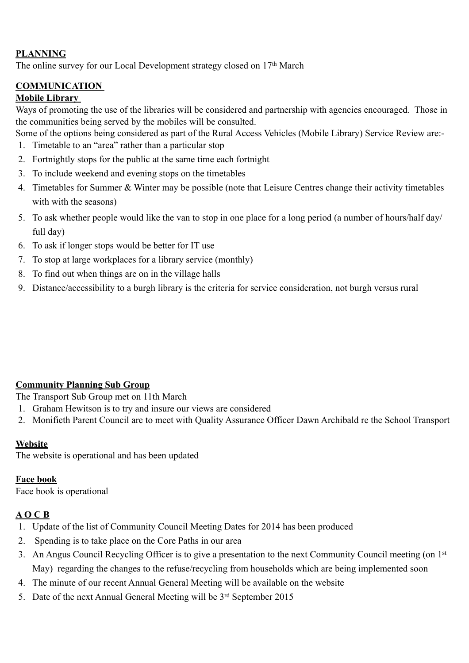# **PLANNING**

The online survey for our Local Development strategy closed on 17<sup>th</sup> March

# **COMMUNICATION**

#### **Mobile Library**

Ways of promoting the use of the libraries will be considered and partnership with agencies encouraged. Those in the communities being served by the mobiles will be consulted.

Some of the options being considered as part of the Rural Access Vehicles (Mobile Library) Service Review are:-

- 1. Timetable to an "area" rather than a particular stop
- 2. Fortnightly stops for the public at the same time each fortnight
- 3. To include weekend and evening stops on the timetables
- 4. Timetables for Summer & Winter may be possible (note that Leisure Centres change their activity timetables with with the seasons)
- 5. To ask whether people would like the van to stop in one place for a long period (a number of hours/half day/ full day)
- 6. To ask if longer stops would be better for IT use
- 7. To stop at large workplaces for a library service (monthly)
- 8. To find out when things are on in the village halls
- 9. Distance/accessibility to a burgh library is the criteria for service consideration, not burgh versus rural

### **Community Planning Sub Group**

The Transport Sub Group met on 11th March

- 1. Graham Hewitson is to try and insure our views are considered
- 2. Monifieth Parent Council are to meet with Quality Assurance Officer Dawn Archibald re the School Transport

#### **Website**

The website is operational and has been updated

#### **Face book**

Face book is operational

### **A O C B**

- 1. Update of the list of Community Council Meeting Dates for 2014 has been produced
- 2. Spending is to take place on the Core Paths in our area
- 3. An Angus Council Recycling Officer is to give a presentation to the next Community Council meeting (on 1st May) regarding the changes to the refuse/recycling from households which are being implemented soon
- 4. The minute of our recent Annual General Meeting will be available on the website
- 5. Date of the next Annual General Meeting will be 3rd September 2015